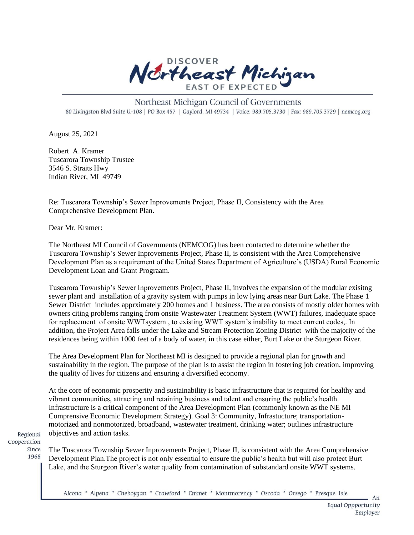

## Northeast Michigan Council of Governments 80 Livingston Blvd Suite U-108 | PO Box 457 | Gaylord, MI 49734 | Voice: 989.705.3730 | Fax: 989.705.3729 | nemcog.org

August 25, 2021

Robert A. Kramer Tuscarora Township Trustee 3546 S. Straits Hwy Indian River, MI 49749

Re: Tuscarora Township's Sewer Inprovements Project, Phase II, Consistency with the Area Comprehensive Development Plan.

Dear Mr. Kramer:

The Northeast MI Council of Governments (NEMCOG) has been contacted to determine whether the Tuscarora Township's Sewer Inprovements Project, Phase II, is consistent with the Area Comprehensive Development Plan as a requirement of the United States Department of Agriculture's (USDA) Rural Economic Development Loan and Grant Prograam.

Tuscarora Township's Sewer Inprovements Project, Phase II, involves the expansion of the modular exisitng sewer plant and installation of a gravity system with pumps in low lying areas near Burt Lake. The Phase 1 Sewer District includes apprximately 200 homes and 1 business. The area consists of mostly older homes with owners citing problems ranging from onsite Wastewater Treatment System (WWT) failures, inadequate space for replacement of onsite WWTsystem , to existing WWT system's inability to meet current codes,. In addition, the Project Area falls under the Lake and Stream Protection Zoning District with the majority of the residences being within 1000 feet of a body of water, in this case either, Burt Lake or the Sturgeon River.

The Area Development Plan for Northeast MI is designed to provide a regional plan for growth and sustainability in the region. The purpose of the plan is to assist the region in fostering job creation, improving the quality of lives for citizens and ensuring a diversified economy.

At the core of economic prosperity and sustainability is basic infrastructure that is required for healthy and vibrant communities, attracting and retaining business and talent and ensuring the public's health. Infrastructure is a critical component of the Area Development Plan (commonly known as the NE MI Comprensive Economic Development Strategy). Goal 3: Community, Infrastucture; transportationmotorized and nonmotorized, broadband, wastewater treatment, drinking water; outlines infrastructure objectives and action tasks.

Regional Cooperation Since

1968

The Tuscarora Township Sewer Inprovements Project, Phase II, is consistent with the Area Comprehensive Development Plan.The project is not only essential to ensure the public's health but will also protect Burt Lake, and the Sturgeon River's water quality from contamination of substandard onsite WWT systems.

Alcona \* Alpena \* Cheboygan \* Crawford \* Emmet \* Montmorency \* Oscoda \* Otsego \* Presque Isle

 $An$